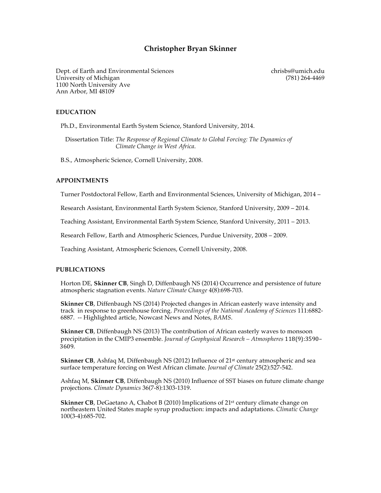# **Christopher Bryan Skinner**

Dept. of Earth and Environmental Sciences chrisbs@umich.edu University of Michigan (781) 264-4469 1100 North University Ave Ann Arbor, MI 48109

### **EDUCATION**

Ph.D., Environmental Earth System Science, Stanford University, 2014.

 Dissertation Title: *The Response of Regional Climate to Global Forcing: The Dynamics of Climate Change in West Africa*.

B.S., Atmospheric Science, Cornell University, 2008.

#### **APPOINTMENTS**

Turner Postdoctoral Fellow, Earth and Environmental Sciences, University of Michigan, 2014 –

Research Assistant, Environmental Earth System Science, Stanford University, 2009 – 2014.

Teaching Assistant, Environmental Earth System Science, Stanford University, 2011 – 2013.

Research Fellow, Earth and Atmospheric Sciences, Purdue University, 2008 – 2009.

Teaching Assistant, Atmospheric Sciences, Cornell University, 2008.

#### **PUBLICATIONS**

 Horton DE, **Skinner CB**, Singh D, Diffenbaugh NS (2014) Occurrence and persistence of future atmospheric stagnation events. *Nature Climate Change* 4(8):698-703.

 **Skinner CB**, Diffenbaugh NS (2014) Projected changes in African easterly wave intensity and track in response to greenhouse forcing. *Proceedings of the National Academy of Sciences* 111:6882- 6887. -- Highlighted article, Nowcast News and Notes, *BAMS*.

 **Skinner CB**, Diffenbaugh NS (2013) The contribution of African easterly waves to monsoon precipitation in the CMIP3 ensemble. *Journal of Geophysical Research – Atmospheres* 118(9):3590– 3609.

**Skinner CB**, Ashfaq M, Diffenbaugh NS (2012) Influence of 21<sup>st</sup> century atmospheric and sea surface temperature forcing on West African climate. *Journal of Climate* 25(2):527-542.

 Ashfaq M, **Skinner CB**, Diffenbaugh NS (2010) Influence of SST biases on future climate change projections. *Climate Dynamics* 36(7-8):1303-1319.

**Skinner CB**, DeGaetano A, Chabot B (2010) Implications of 21<sup>st</sup> century climate change on northeastern United States maple syrup production: impacts and adaptations. *Climatic Change* 100(3-4):685-702.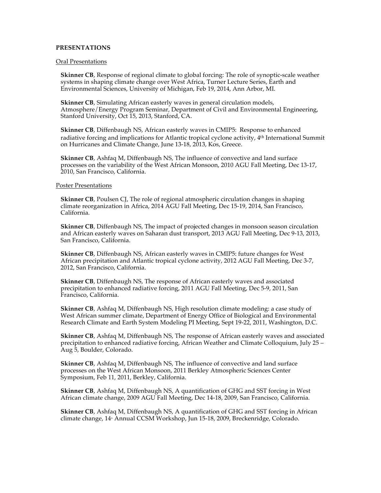## **PRESENTATIONS**

### Oral Presentations

 **Skinner CB**, Response of regional climate to global forcing: The role of synoptic-scale weather systems in shaping climate change over West Africa, Turner Lecture Series, Earth and Environmental Sciences, University of Michigan, Feb 19, 2014, Ann Arbor, MI.

**Skinner CB**, Simulating African easterly waves in general circulation models, Atmosphere/Energy Program Seminar, Department of Civil and Environmental Engineering, Stanford University, Oct 15, 2013, Stanford, CA.

 **Skinner CB**, Diffenbaugh NS, African easterly waves in CMIP5: Response to enhanced radiative forcing and implications for Atlantic tropical cyclone activity, 4th International Summit on Hurricanes and Climate Change, June 13-18, 2013, Kos, Greece.

 **Skinner CB**, Ashfaq M, Diffenbaugh NS, The influence of convective and land surface processes on the variability of the West African Monsoon, 2010 AGU Fall Meeting, Dec 13-17, 2010, San Francisco, California.

#### Poster Presentations

 **Skinner CB**, Poulsen CJ, The role of regional atmospheric circulation changes in shaping climate reorganization in Africa, 2014 AGU Fall Meeting, Dec 15-19, 2014, San Francisco, California.

**Skinner CB**, Diffenbaugh NS, The impact of projected changes in monsoon season circulation and African easterly waves on Saharan dust transport, 2013 AGU Fall Meeting, Dec 9-13, 2013, San Francisco, California.

 **Skinner CB**, Diffenbaugh NS, African easterly waves in CMIP5: future changes for West African precipitation and Atlantic tropical cyclone activity, 2012 AGU Fall Meeting, Dec 3-7, 2012, San Francisco, California.

 **Skinner CB**, Diffenbaugh NS, The response of African easterly waves and associated precipitation to enhanced radiative forcing, 2011 AGU Fall Meeting, Dec 5-9, 2011, San Francisco, California.

 **Skinner CB**, Ashfaq M, Diffenbaugh NS, High resolution climate modeling: a case study of West African summer climate, Department of Energy Office of Biological and Environmental Research Climate and Earth System Modeling PI Meeting, Sept 19-22, 2011, Washington, D.C.

 **Skinner CB**, Ashfaq M, Diffenbaugh NS, The response of African easterly waves and associated precipitation to enhanced radiative forcing, African Weather and Climate Colloquium, July 25 – Aug 5, Boulder, Colorado.

 **Skinner CB**, Ashfaq M, Diffenbaugh NS, The influence of convective and land surface processes on the West African Monsoon, 2011 Berkley Atmospheric Sciences Center Symposium, Feb 11, 2011, Berkley, California.

 **Skinner CB**, Ashfaq M, Diffenbaugh NS, A quantification of GHG and SST forcing in West African climate change, 2009 AGU Fall Meeting, Dec 14-18, 2009, San Francisco, California.

 **Skinner CB**, Ashfaq M, Diffenbaugh NS, A quantification of GHG and SST forcing in African climate change, 14<sup>th</sup> Annual CCSM Workshop, Jun 15-18, 2009, Breckenridge, Colorado.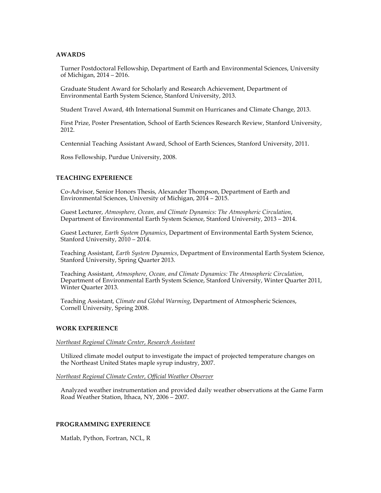### **AWARDS**

 Turner Postdoctoral Fellowship, Department of Earth and Environmental Sciences, University of Michigan, 2014 – 2016.

 Graduate Student Award for Scholarly and Research Achievement, Department of Environmental Earth System Science, Stanford University, 2013.

Student Travel Award, 4th International Summit on Hurricanes and Climate Change, 2013.

 First Prize, Poster Presentation, School of Earth Sciences Research Review, Stanford University, 2012.

Centennial Teaching Assistant Award, School of Earth Sciences, Stanford University, 2011.

Ross Fellowship, Purdue University, 2008.

### **TEACHING EXPERIENCE**

 Co-Advisor, Senior Honors Thesis, Alexander Thompson, Department of Earth and Environmental Sciences, University of Michigan, 2014 – 2015.

 Guest Lecturer, *Atmosphere, Ocean, and Climate Dynamics: The Atmospheric Circulation*, Department of Environmental Earth System Science, Stanford University, 2013 – 2014.

 Guest Lecturer, *Earth System Dynamics*, Department of Environmental Earth System Science, Stanford University, 2010 - 2014.

 Teaching Assistant, *Earth System Dynamics*, Department of Environmental Earth System Science, Stanford University, Spring Quarter 2013.

 Teaching Assistant, *Atmosphere, Ocean, and Climate Dynamics: The Atmospheric Circulation*, Department of Environmental Earth System Science, Stanford University, Winter Quarter 2011, Winter Quarter 2013.

 Teaching Assistant, *Climate and Global Warming*, Department of Atmospheric Sciences, Cornell University, Spring 2008.

## **WORK EXPERIENCE**

### *Northeast Regional Climate Center, Research Assistant*

 Utilized climate model output to investigate the impact of projected temperature changes on the Northeast United States maple syrup industry, 2007.

*Northeast Regional Climate Center, Official Weather Observer*

 Analyzed weather instrumentation and provided daily weather observations at the Game Farm Road Weather Station, Ithaca, NY, 2006 – 2007.

## **PROGRAMMING EXPERIENCE**

Matlab, Python, Fortran, NCL, R